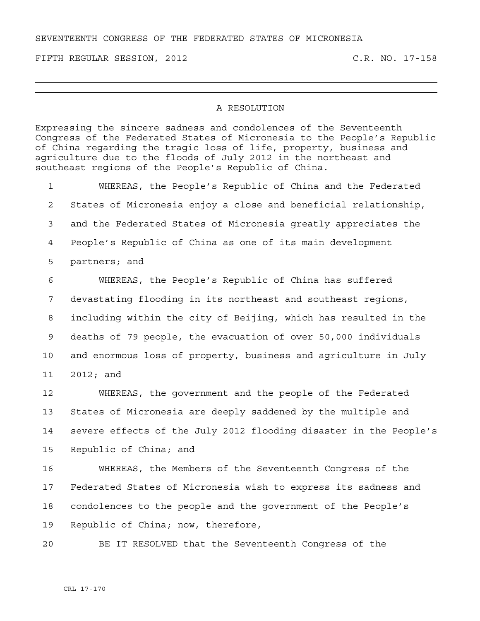SEVENTEENTH CONGRESS OF THE FEDERATED STATES OF MICRONESIA

FIFTH REGULAR SESSION, 2012 C.R. NO. 17-158

## A RESOLUTION

Expressing the sincere sadness and condolences of the Seventeenth Congress of the Federated States of Micronesia to the People's Republic of China regarding the tragic loss of life, property, business and agriculture due to the floods of July 2012 in the northeast and southeast regions of the People's Republic of China.

1 WHEREAS, the People's Republic of China and the Federated 2 States of Micronesia enjoy a close and beneficial relationship, 3 and the Federated States of Micronesia greatly appreciates the 4 People's Republic of China as one of its main development 5 partners; and 6 WHEREAS, the People's Republic of China has suffered 7 devastating flooding in its northeast and southeast regions, 8 including within the city of Beijing, which has resulted in the 9 deaths of 79 people, the evacuation of over 50,000 individuals 10 and enormous loss of property, business and agriculture in July 11 2012; and 12 WHEREAS, the government and the people of the Federated

13 States of Micronesia are deeply saddened by the multiple and 14 severe effects of the July 2012 flooding disaster in the People's 15 Republic of China; and

16 WHEREAS, the Members of the Seventeenth Congress of the 17 Federated States of Micronesia wish to express its sadness and 18 condolences to the people and the government of the People's 19 Republic of China; now, therefore,

20 BE IT RESOLVED that the Seventeenth Congress of the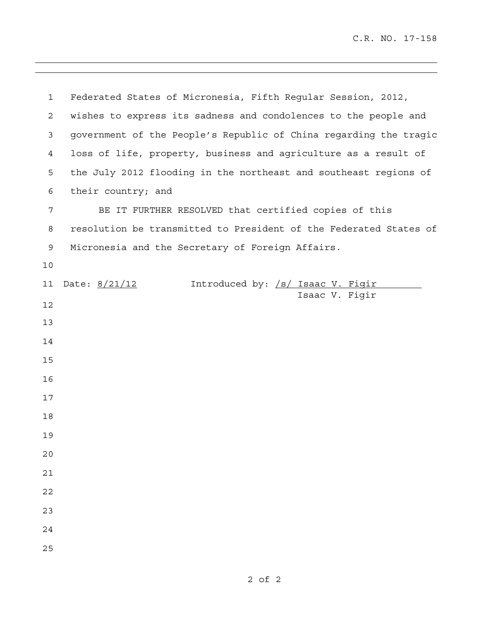| $\mathbf 1$ | Federated States of Micronesia, Fifth Regular Session, 2012,      |
|-------------|-------------------------------------------------------------------|
| 2           | wishes to express its sadness and condolences to the people and   |
| 3           | government of the People's Republic of China regarding the tragic |
| 4           | loss of life, property, business and agriculture as a result of   |
| 5           | the July 2012 flooding in the northeast and southeast regions of  |
| 6           | their country; and                                                |
| 7           | BE IT FURTHER RESOLVED that certified copies of this              |
| 8           | resolution be transmitted to President of the Federated States of |
| 9           | Micronesia and the Secretary of Foreign Affairs.                  |
| 10          |                                                                   |
| 11          | Introduced by: /s/ Isaac V. Figir<br>Date: $8/21/12$              |
| 12          | Isaac V. Figir                                                    |
| 13          |                                                                   |
| 14          |                                                                   |
| 15          |                                                                   |
| 16          |                                                                   |
| 17          |                                                                   |
| 18          |                                                                   |
| 19          |                                                                   |
| 20          |                                                                   |
| 21          |                                                                   |
| 22          |                                                                   |
| 23          |                                                                   |
| 24          |                                                                   |
| 25          |                                                                   |

<u> 1989 - Jan Salaman Salaman (j. 1989)</u>